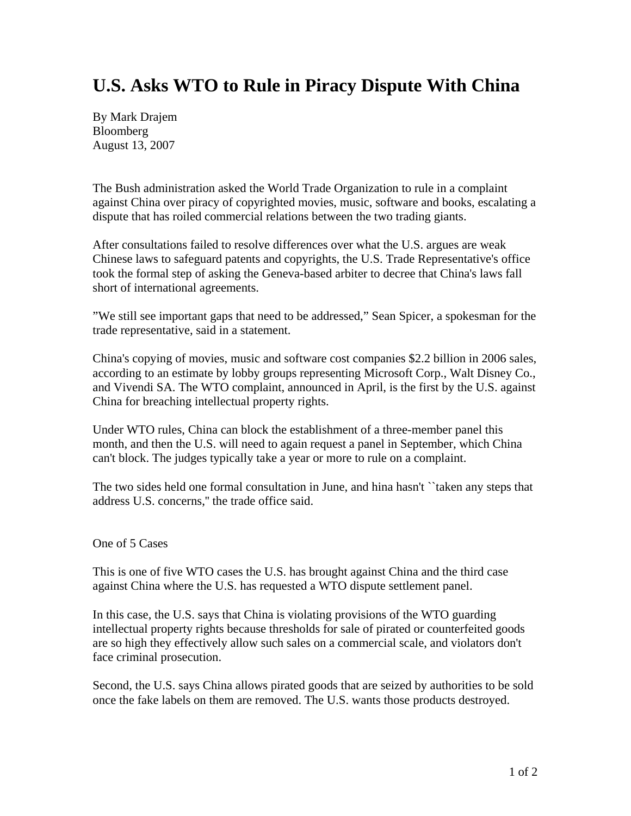## **U.S. Asks WTO to Rule in Piracy Dispute With China**

By Mark Drajem Bloomberg August 13, 2007

The Bush administration asked the World Trade Organization to rule in a complaint against China over piracy of copyrighted movies, music, software and books, escalating a dispute that has roiled commercial relations between the two trading giants.

After consultations failed to resolve differences over what the U.S. argues are weak Chinese laws to safeguard patents and copyrights, the U.S. Trade Representative's office took the formal step of asking the Geneva-based arbiter to decree that China's laws fall short of international agreements.

"We still see important gaps that need to be addressed," Sean Spicer, a spokesman for the trade representative, said in a statement.

China's copying of movies, music and software cost companies \$2.2 billion in 2006 sales, according to an estimate by lobby groups representing Microsoft Corp., Walt Disney Co., and Vivendi SA. The WTO complaint, announced in April, is the first by the U.S. against China for breaching intellectual property rights.

Under WTO rules, China can block the establishment of a three-member panel this month, and then the U.S. will need to again request a panel in September, which China can't block. The judges typically take a year or more to rule on a complaint.

The two sides held one formal consultation in June, and hina hasn't ``taken any steps that address U.S. concerns,'' the trade office said.

## One of 5 Cases

This is one of five WTO cases the U.S. has brought against China and the third case against China where the U.S. has requested a WTO dispute settlement panel.

In this case, the U.S. says that China is violating provisions of the WTO guarding intellectual property rights because thresholds for sale of pirated or counterfeited goods are so high they effectively allow such sales on a commercial scale, and violators don't face criminal prosecution.

Second, the U.S. says China allows pirated goods that are seized by authorities to be sold once the fake labels on them are removed. The U.S. wants those products destroyed.